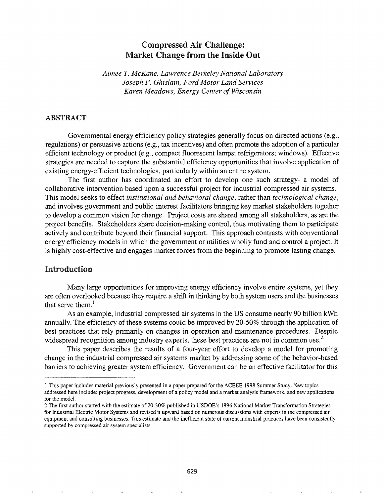# Compressed Air Challenge: Market Change from the Inside Out

*Aimee T. McKane, Lawrence Berkeley National Laboratory Joseph P. Ghislain, Ford Motor Land Services Karen Meadows, Energy Center ofWisconsin*

## ABSTRACT

Governmental energy efficiency policy strategies generally focus on directed actions (e.g., regulations) or persuasive actions (e.g., tax incentives) and often promote the adoption of a particular efficient technology or product (e.g., compact fluorescent lamps; refrigerators; windows). Effective strategies are needed to capture the substantial efficiency opportunities that involve application of existing energy-efficient technologies, particularly within an entire system.

The first author has coordinated an effort to develop one such strategy- a model of collaborative intervention based upon a successful project for industrial compressed air systems. This model seeks to effect *institutional and behavioral change,* rather than *technological change,* and involves government and public-interest facilitators bringing key market stakeholders together to develop a common vision for change. Project costs are shared among all stakeholders, as are the project benefits. Stakeholders share decision-making control, thus motivating them to participate actively and contribute beyond their financial support. This approach contrasts with conventional energy efficiency models in which the government or utilities wholly fund and control a project. It is highly cost-effective and engages market forces from the beginning to promote lasting change.

# Introduction

Many large opportunities for improving energy efficiency involve entire systems, yet they are often overlooked because they require a shift in thinking by both system users and the businesses that serve them. $<sup>1</sup>$ </sup>

As an example, industrial compressed air systems in the US consume nearly 90 billion kWh annually. The efficiency of these systems could be improved by 20-50% through the application of best practices that rely primarily on changes in operation and maintenance procedures. Despite widespread recognition among industry experts, these best practices are not in common use.<sup>2</sup>

This paper describes the results of a four-year effort to develop a model for promoting change in the industrial compressed air systems market by addressing some of the behavior-based barriers to achieving greater system efficiency. Government can be an effective facilitator for this

<sup>1</sup> This paper includes material previously presented in a paper prepared for the ACEEE 1998 Summer Study. New topics addressed here include: project progress, development of a policy model and a market analysis framework, and new applications for the model.

<sup>2</sup> The first author started with the estimate of 20-30% published in USDOE's 1996 National Market Transformation Strategies for Industrial Electric Motor Systems and revised it upward based on numerous discussions with experts in the compressed air equipment and consulting businesses. This estimate and the inefficient state of current industrial practices have been consistently supported by compressed air system specialists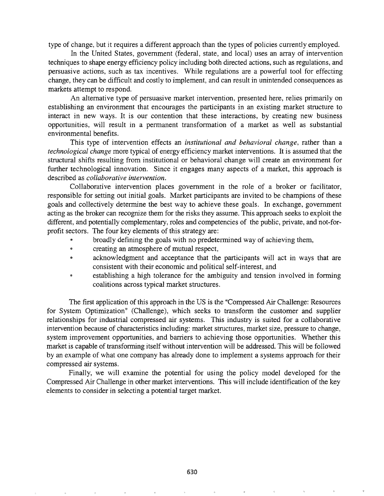type of change, but it requires a different approach than the types of policies currently employed.

In the United States, government (federal, state, and local) uses an array of intervention techniques to shape energy efficiency policy including both directed actions, such as regulations, and persuasive actions, such as tax incentives. While regulations are a powerful tool for effecting change, they can be difficult and costly to implement, and can result in unintended consequences as markets attempt to respond.

An alternative type of persuasive market intervention, presented here, relies primarily on establishing an environment that encourages the participants in an existing market structure to interact in new ways. It is our contention that these interactions, by creating new business opportunities, will result in a permanent transformation of a market as well as substantial environmental benefits.

This type of intervention effects an *institutional and behavioral change,* rather than a *technological change* more typical of energy efficiency market interventions. It is assumed that the structural shifts resulting from institutional or behavioral change will create an environment for further technological innovation. Since it engages many aspects of a market, this approach is described as *collaborative intervention.*

Collaborative intervention places government in the role of a broker or facilitator, responsible for setting out initial goals. Market participants are invited to be champions of these goals and collectively determine the best way to achieve these goals. In exchange, government acting as the broker can recognize them for the risks they assume. This approach seeks to exploit the different, and potentially complementary, roles and competencies of the public, private, and not-forprofit sectors. The four key elements of this strategy are:

- broadly defining the goals with no predetermined way of achieving them,
- @ creating an atmosphere of mutual respect,
- acknowledgment and acceptance that the participants will act in ways that are consistent with their economic and political self-interest, and
- establishing a high tolerance for the ambiguity and tension involved in forming coalitions across typical market structures.

The first application of this approach in the US is the "Compressed Air Challenge: Resources" for System Optimization" (Challenge), which seeks to transform the customer and supplier relationships for industrial compressed air systems. This industry is suited for a collaborative intervention because of characteristics including: market structures, market size, pressure to change, system improvement opportunities, and barriers to achieving those opportunities. Whether this market is capable of transforming itself without intervention will be addressed. This will be followed by an example of what one company has already done to implement a systems approach for their compressed air systems.

Finally, we will examine the potential for using the policy model developed for the Compressed Air Challenge in other market interventions. This will include identification of the key elements to consider in selecting a potential target market.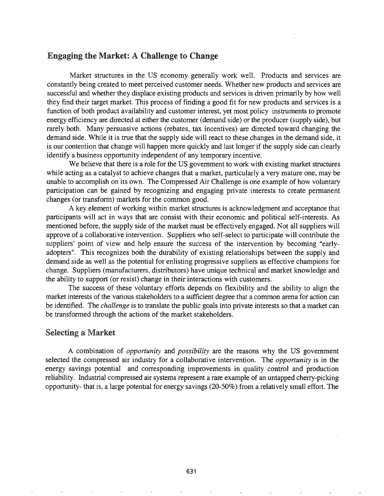## Engaging the Market: A Challenge to Change

Market structures in the US economy generally work well. Products and services are constantly being created to meet perceived customer needs. Whether new products and services are successful and whether they displace existing products and services is driven primarily by how well they find their target market. This process of finding a good fit for new products and services is a function of both product availability and customer interest, yet most policy instruments to promote energy efficiency are directed at either the customer (demand side) or the producer (supply side), but rarely both. Many persuasive actions (rebates, tax incentives) are directed toward changing the demand side. While it is true that the supply side will react to these changes in the demand side, it is our contention that change will happen more quickly and last longer if the supply side can clearly identify a business opportunity independent of any temporary incentive.

We believe that there is a role for the US government to work with existing market structures while acting as a catalyst to achieve changes that a market, particularly a very mature one, may be unable to accomplish on its own. The Compressed Air Challenge is one example of how voluntary participation can be gained by recognizing and engaging private interests to create permanent changes (or transform) markets for the common good.

A key element of working within market structures is acknowledgment and acceptance that participants will act in ways that are consist with their economic and political self-interests. As mentioned before, the supply side of the market must be effectively engaged. Not all suppliers will approve of a collaborative intervention. Suppliers who self-select to participate will contribute the suppliers' point of view and help ensure the success of the intervention by becoming "earlyadopters". This recognizes both the durability of existing relationships between the supply and demand side as well as the potential for enlisting progressive suppliers as effective champions for change. Suppliers (manufacturers, distributors) have unique technical and market knowledge and the ability to support (or resist) change in their interactions with customers.

The success of these voluntary efforts depends on flexibility and the ability to align the market interests of the various stakeholders to a sufficient degree that a common arena for action can be identified. The *challenge* is to translate the public goals into private interests so that a market can be transformed through the actions of the market stakeholders.

## **Selecting a Market**

A combination of *opportunity* and *possibility* are the reasons why the US government selected the compressed air industry for a collaborative intervention. The *opportunity* is in the energy savings potential and corresponding improvements in quality control and production reliability. Industrial compressed air systems represent a rare example of an untapped cherry-picking opportunity- that is, a large potential for energy savings (20-50%) from a relatively small effort. The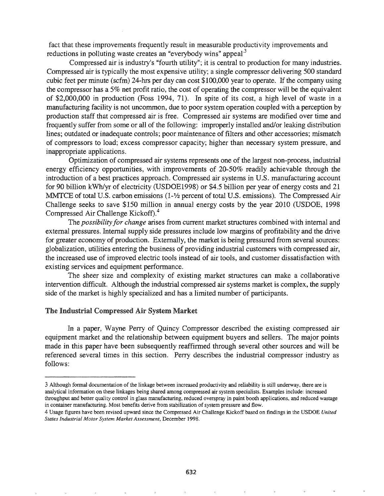fact that these improvements frequently result in measurable productivity improvements and reductions in polluting waste creates an "everybody wins" appeal<sup>3</sup>

Compressed air is industry's "fourth utility"; it is central to production for many industries. Compressed air is typically the most expensive utility; a single compressor delivering 500 standard cubic feet per minute (scfm) 24-hrs per day can cost \$100,000 year to operate. If the company using the compressor has a 5% net profit ratio, the cost of operating the compressor will be the equivalent of \$2,000,000 in production (Foss 1994, 71). In spite of its cost, a high level of waste in a manufacturing facility is not uncommon, due to poor system operation coupled with a perception by production staff that compressed air is free. Compressed air systems are modified over time and frequently suffer from some or all of the following: improperly installed and/or leaking distribution lines; outdated or inadequate controls; poor maintenance of filters and other accessories; mismatch of compressors to load; excess compressor capacity; higher than necessary system pressure, and inappropriate applications.

Optimization of compressed air systems represents one of the largest non-process, industrial energy efficiency opportunities, with improvements of 20-50% readily achievable through the introduction of a best practices approach. Compressed air systems in U.S. manufacturing account for 90 billion kWhlyr of electricity (USDOE1998) or \$4.5 billion per year of energy costs and 21 MMTCE of total U.S. carbon emissions (1-1/2 percent of total U.S. emissions). The Compressed Air Challenge seeks to save \$150 million in annual energy costs by the year 2010 (USDOE, 1998 Compressed Air Challenge Kickoff).4

The *possibility for change* arises from current market structures combined with internal and external pressures. Internal supply side pressures include low margins of profitability and the drive for greater economy of production. Externally, the market is being pressured from several sources: globalization, utilities entering the business of providing industrial customers with compressed air, the increased use of improved electric tools instead of air tools, and customer dissatisfaction with existing services and equipment performance.

The sheer size and complexity of existing market structures can make a collaborative intervention difficult. Although the industrial compressed air systems market is complex, the supply side of the market is highly specialized and has a limited number of participants.

#### The Industrial Compressed Air System Market

a paper, Wayne Perry of Quincy Compressor described the existing compressed air equipment market and the relationship between equipment buyers and sellers. The major points made in this paper have been subsequently reaffirmed through several other sources and will be referenced several times in this section. Perry describes the industrial compressor industry as follows:

<sup>3</sup> Although formal documentation of the linkage between increased productivity and reliability is still underway, there are is analytical information on these linkages being shared among compressed air system specialists. Examples include: increased throughput and better quality control in glass manufacturing, reduced overspray in paint booth applications, and reduced wastage in container manufacturing. Most benefits derive from stabilization of system pressure and flow.

<sup>4</sup> Usage figures have been revised upward since the Compressed Air Challenge Kickoff based on findings in the USDOE *United States Industrial Motor System Market Assessment,* December 1998.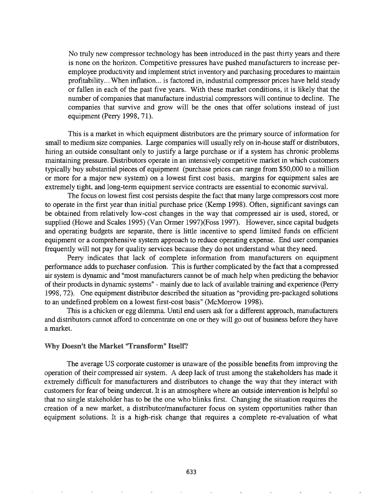No truly new compressor technology has been introduced in the past thirty years and there is none on the horizon. Competitive pressures have pushed manufacturers to increase peremployee productivity and implement strict inventory and purchasing procedures to maintain profitability....When inflation... is factored in, industrial compressor prices have held steady or fallen in each of the past five years. With these market conditions, it is likely that the number of companies that manufacture industrial compressors will continue to decline. The companies that survive and grow will be the ones that offer solutions instead of just equipment (Perry 1998, 71).

This is a market in which equipment distributors are the primary source of information for small to medium size companies. Large companies will usually rely on in-house staff or distributors, hiring an outside consultant only to justify a large purchase or if a system has chronic problems maintaining pressure. Distributors operate in an intensively competitive market in which customers typically buy substantial pieces of equipment (purchase prices can range from \$50,000 to a million or more for a major new system) on a lowest first cost basis, margins for equipment sales are extremely tight, and long-term equipment service contracts are essential to economic survival.

The focus on lowest first cost persists despite the fact that many large compressors *cost* more to operate in the first year than initial purchase price (Kemp 1998). Often, significant savings can be obtained from relatively low-cost changes in the way that compressed air is used, stored, or supplied (Howe and Scales 1995) (Van *Grmer* 1997)(Foss 1997). However, since capital budgets and operating budgets are separate, there is little incentive to spend limited funds on efficient equipment or a comprehensive system approach to reduce operating expense. End user companies frequently will not pay for quality services because they do not understand what they need.

Perry indicates that lack of complete information from manufacturers on equipment performance adds to purchaser confusion. This is further complicated by the fact that a compressed air system is dynamic and "most manufacturers cannot be of much help when predicting the behavior of their products in dynamic systems" - mainly due to lack of available training and experience (Perry 1998, 72). One equipment distributor described the situation as "providing pre-packaged solutions to an undefined problem on a lowest first-cost basis" (McMorrow 1998).

This is a chicken or egg dilemma. Until end users ask for a different approach, manufacturers and distributors cannot afford to concentrate on one or they will go out of business before they have a market.

## Why Doesn't the Market "Transform" Itself?

The average US corporate customer is unaware of the possible benefits from improving the operation of their compressed air system. A deep lack of trust among the stakeholders has made it extremely difficult for manufacturers and distributors to change the way that they interact with customers for fear of being undercut. It is an atmosphere where an outside intervention is helpful so that no single stakeholder has to be the one who blinks first. Changing the situation requires the creation of a new market, a distributor/manufacturer focus on system opportunities rather than equipment solutions. It is a high-risk change that requires a complete re-evaluation of what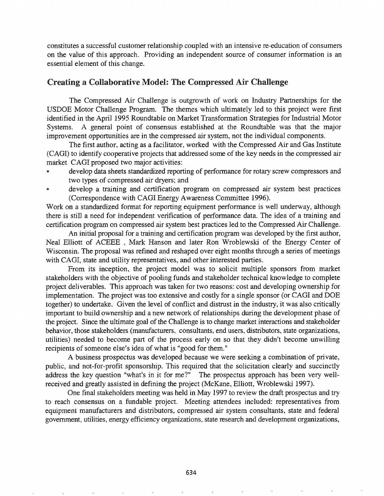constitutes a successful customer relationship coupled with an intensive re-education of consumers on the value of this approach. Providing an independent source of consumer information is an essential element of this change.

# Creating a Collaborative Model: The Compressed Air Challenge

The Compressed Air Challenge is outgrowth of work on Industry Partnerships for the USDOE Motor Challenge Program. The themes which ultimately led to this project were first identified in the April 1995 Roundtable on Market Transformation Strategies for Industrial Motor Systems. A general point of consensus established at the Roundtable was that the major improvement opportunities are in the compressed air system, not the individual components.

The first author, acting as a facilitator, worked with the Compressed Air and Gas Institute (CAGI) to identify cooperative projects that addressed some of the key needs in the compressed air market CAGI proposed two major activities:

- develop data sheets standardized reporting of performance for rotary screw compressors and two types of compressed air dryers; and
- develop a training and certification program on compressed air system best practices (Correspondence with CAGI Energy Awareness Committee 1996).

Work on a standardized format for reporting equipment performance is well underway, although there is still a need for independent verification of performance data. The idea of a training and certification program on compressed air system best practices led to the Compressed Air Challenge.

An initial proposal for a training and certification program was developed by the first author, Neal Elliott of ACEEE , Mark Hanson and later Ron Wroblewski of the Energy Center of Wisconsin. The proposal was refined and reshaped over eight months through a series of meetings with CAGI, state and utility representatives, and other interested parties.

From its inception, the project model was to solicit multiple sponsors from market stakeholders with the objective of pooling funds and stakeholder technical knowledge to complete project deliverables. This approach was taken for two reasons: cost and developing ownership for implementation. The project was too extensive and costly for a single sponsor (or CAGI and DOE together) to undertake. Given the level of conflict and distrust in the industry, it was also critically important to build ownership and a new network of relationships during the development phase of the project. Since the ultimate goal of the Challenge is to change market interactions and stakeholder behavior, those stakeholders (manufacturers, consultants, end users, distributors, state organizations, utilities) needed to become part of the process early on so that they didn't become unwilling recipients of someone else's idea of what is "good for them."

A business prospectus was developed because we were seeking a combination of private, public, and not-for-profit sponsorship. This required that the solicitation clearly and succinctly address the key question "what's in it for me?" The prospectus approach has been very welIreceived and greatly assisted in defining the project (McKane, Elliott, Wroblewski 1997).

One final stakeholders meeting was held in May 1997 to review the draft prospectus and try to reach consensus on a fundable project. Meeting attendees included: representatives from equipment manufacturers and distributors, compressed air system consultants, state and federal government, utilities, energy efficiency organizations, state research and development organizations,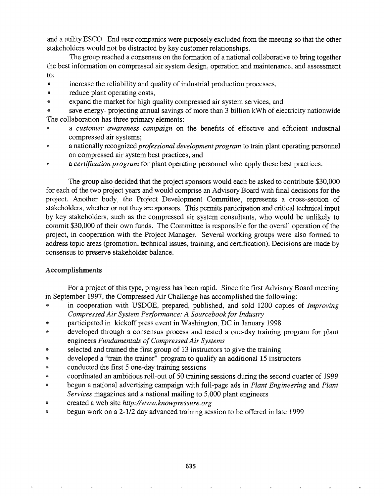and a utility ESCO. End user companies were purposely excluded from the meeting so that the other stakeholders would not be distracted by key customer relationships.

The group reached a consensus on the formation of a national collaborative to bring together the best information on compressed air system design, operation and maintenance, and assessment to:

- increase the reliability and quality of industrial production processes,
- reduce plant operating costs,
- expand the market for high quality compressed air system services, and

save energy- projecting annual savings of more than 3 billion kWh of electricity nationwide The collaboration has three primary elements:

- a *customer awareness campaign* on the benefits of effective and efficient industrial compressed air systems;
- a nationally recognized *professional development program* to train plant operating personnel on compressed air system best practices, and
- <sup>e</sup> a *certification program* for plant operating personnel who apply these best practices.

The group also decided that the project sponsors would each be asked to contribute \$30,000 for each of the two project years and would comprise an Advisory Board with final decisions for the project. Another body, the Project Development Committee, represents a cross-section of stakeholders, whether or not they are sponsors. This pennits participation and critical technical input by key stakeholders, such as the compressed air system consultants, who would be unlikely to commit \$30,000 of their own funds. The Committee is responsible for the overall operation of the project, in cooperation with the Project Manager. Several working groups were also formed to address topic areas (promotion, technical issues, training, and certification). Decisions are made by consensus to preserve stakeholder balance.

## Accomplishments

For a project of this type, progress has been rapid. Since the first Advisory Board meeting in September 1997, the Compressed Air Challenge has accomplished the following:

- @ in cooperation with USDOE, prepared, published, and sold 1200 copies of *Improving Compressed Air System Performance." A Sourcebookfor Industry*
- @ participated in kickoff press event in Washington, DC in January 1998
- @ developed through a consensus process and tested a one-day training program for plant engineers *Fundamentals ofCompressed Air Systems*
- <sup>e</sup> selected and trained the first group of 13 instructors to give the training
- @ developed a "train the trainer" program to qualify an additional 15 instructors
- conducted the first 5 one-day training sessions
- @ coordinated an ambitious roll-out of 50 training sessions during the second quarter of 1999
- @ begun a national advertising campaign with full-page ads in *Plant Engineering* and *Plant Services* magazines and a national mailing to 5,000 plant engineers
- @ created a web site *http://www.knowpressure.org*
- @ begun work on a 2-1/2 day advanced training session to be offered in late 1999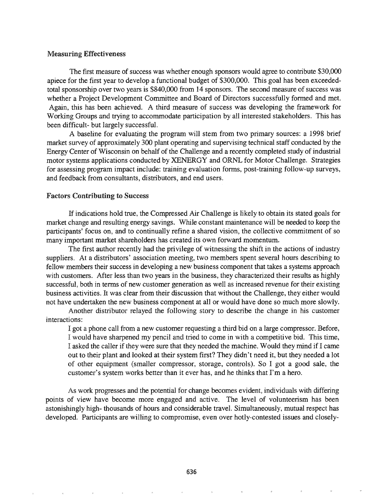#### Measuring Effectiveness

The first measure of success was whether enough sponsors would agree to contribute \$30,000 apiece for the first year to develop a functional budget of \$300,000. This goal has been exceededtotal sponsorship over two years is \$840,000 from 14 sponsors. The second measure of success was whether a Project Development Committee and Board of Directors successfully formed and met. Again, this has been achieved. A third measure of success was developing the framework for Working Groups and trying to accommodate participation by all interested stakeholders. This has been difficult- but largely successful.

A baseline for evaluating the program will stem from two primary sources: a 1998 brief market survey of approximately 300 plant operating and supervising technical staff conducted by the Energy Center of Wisconsin on behalf of the Challenge and a recently completed study of industrial motor systems applications conducted by XENERGY and ORNL for Motor Challenge. Strategies for assessing program impact include: training evaluation forms, post-training follow-up surveys, and feedback from consultants, distributors, and end users.

### Factors Contributing to Success

If indications hold true, the Compressed Air Challenge is likely to obtain its stated goals for market change and resulting energy savings. While constant maintenance will be needed to keep the participants' focus on, and to continually refine a shared vision, the collective commitment of so many important market shareholders has created its own forward momentum.

The first author recently had the privilege of witnessing the shift in the actions of industry suppliers. At a distributors' association meeting, two members spent several hours describing to fellow members their success in developing a new business component that takes a systems approach with customers. After less than two years in the business, they characterized their results as highly successful, both in terms of new customer generation as well as increased revenue for their existing business activities. It was clear from their discussion that without the Challenge, they either would not have undertaken the new business component at all or would have done so much more slowly.

Another distributor relayed the following story to describe the change in his customer interactions:

I got a phone call from a new customer requesting a third bid on a large compressor. Before, I would have sharpened my pencil and tried to come in with a competitive bid. This time, I asked the caller if they were sure that they needed the machine. Would they mind ifI came out to their plant and looked at their system first? They didn't need it, but they needed a lot of other equipment (smaller compressor, storage, controls). So I got a good sale, the customer's system works better than it ever has, and he thinks that I'm a hero.

As work progresses and the potential for change becomes evident, individuals with differing points of view have become more engaged and active. The level of volunteerism has been astonishingly high- thousands of hours and considerable travel. Simultaneously, mutual respect has developed. Participants are willing to compromise, even over hotly-contested issues and closely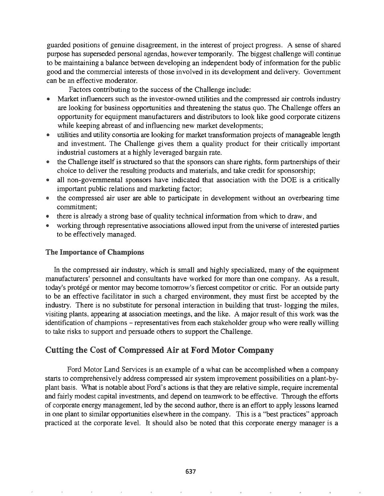guarded positions of genuine disagreement, in the interest of project progress. A sense of shared purpose has superseded personal agendas, however temporarily. The biggest challenge will continue to be maintaining a balance between developing an independent body of information for the public good and the commercial interests of those involved in its development and delivery. Government can be an effective moderator.

Factors contributing to the success of the Challenge include:

- Market influencers such as the investor-owned utilities and the compressed air controls industry are looking for business opportunities and threatening the status quo. The Challenge offers an opportunity for equipment manufacturers and distributors to look like good corporate citizens while keeping abreast of and influencing new market developments;
- utilities and utility consortia are looking for market transformation projects of manageable length and investment. The Challenge gives them a quality product for their critically important industrial customers at a highly leveraged bargain rate.
- {& the Challenge itself is structured so that the sponsors can share rights, form partnerships of their choice to deliver the resulting products and materials, and take credit for sponsorship;
- all non-governmental sponsors have indicated that association with the DOE is a critically important public relations and marketing factor;
- e the compressed air user are able to participate in development without an overbearing time commitment;
- @ there is already a strong base of quality technical information from which to draw, and
- working through representative associations allowed input from the universe of interested parties to be effectively managed.

## The Importance of Champions

In the compressed air industry, which is small and highly specialized, many of the equipment manufacturers' personnel and consultants have worked for more than one company. As a result, today's protégé or mentor may become tomorrow's fiercest competitor or critic. For an outside party to be an effective facilitator in such a charged environment, they must first be accepted by the industry. There is no substitute for personal interaction in building that trust- logging the miles, visiting plants, appearing at association meetings, and the like. A major result of this work was the identification of champions - representatives from each stakeholder group who were really willing to take risks to support and persuade others to support the Challenge.

# Cutting the Cost of Compressed Air at Ford Motor Company

Ford Motor Land Services is an example of a what can be accomplished when a company starts to comprehensively address compressed air system improvement possibilities on a plant-byplant basis. What is notable about Ford's actions is that they are relative simple, require incremental and fairly modest capital investments, and depend on teamwork to be effective. Through the efforts of corporate energy management, led by the second author, there is an effort to apply lessons learned in one plant to similar opportunities elsewhere in the company. This is a "best practices" approach practiced at the corporate level. It should also be noted that this corporate energy manager is a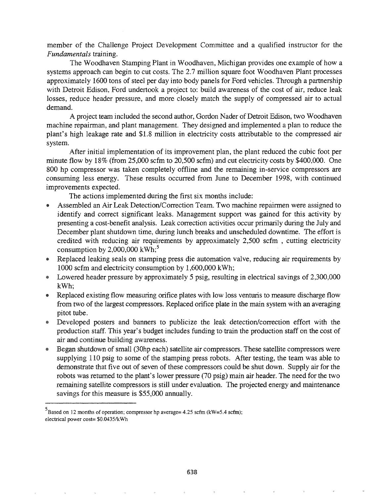member of the Challenge Project Development Committee and a qualified instructor for the *Fundamentals* training.

The Woodhaven Stamping Plant in Woodhaven, Michigan provides one example of how a systems approach can begin to cut costs. The 2.7 million square foot Woodhaven Plant processes approximately 1600 tons of steel per day into body panels for Ford vehicles. Through a partnership with Detroit Edison, Ford undertook a project to: build awareness of the cost of air, reduce leak losses, reduce header pressure, and more closely match the supply of compressed air to actual demand.

A project team included the second author, Gordon Nader of Detroit Edison, two Woodhaven machine repairman, and plant management. They designed and implemented a plan to reduce the plant's high leakage rate and \$1.8 million in electricity costs attributable to the compressed air system.

After initial implementation of its improvement plan, the plant reduced the cubic foot per minute flow by 18% (from 25,000 scfm to 20,500 scfm) and cut electricity costs by \$400,000. One 800 hp compressor was taken completely offline and the remaining in-service compressors are consuming less energy. These results occurred from June to December 1998, with continued improvements expected.

The actions implemented during the first six months include:

- Assembled an Air Leak Detection/Correction Team. Two machine repairmen were assigned to identify and correct significant leaks. Management support was gained for this activity by presenting a cost-benefit analysis. Leak correction activities occur primarily during the July and December plant shutdown time, during lunch breaks and unscheduled downtime. The effort is credited with reducing air requirements by approximately 2,500 scfm , cutting electricity consumption by  $2,000,000 \text{ kWh}$ ;<sup>5</sup>
- Replaced leaking seals on stamping press die automation valve, reducing air requirements by 1000 scfm and electricity consumption by 1,600,000 kWh;
- @ Lowered header pressure by approximately 5 psig, resulting in electrical savings of 2,300,000 kWh;
- Replaced existing flow measuring orifice plates with low loss venturis to measure discharge flow from two of the largest compressors. Replaced orifice plate in the main system with an averaging pitot tube.
- Developed posters and banners to publicize the leak detection/correction effort with the production staff. This year's budget includes funding to train the production staff on the cost of air and continue building awareness.
- Began shutdown of small (30hp each) satellite air compressors. These satellite compressors were supplying 110 psig to some of the stamping press robots. After testing, the team was able to demonstrate that five out of seven of these compressors could be shut down. Supply air for the robots was returned to the plant's lower pressure (70 psig) main air header. The need for the two remaining satellite compressors is still under evaluation. The projected energy and maintenance savings for this measure is \$55,000 annually.

 $5B$ ased on 12 months of operation; compressor hp average= 4.25 scfm (kW=5.4 scfm); electrical power cost= \$O.0435/kWh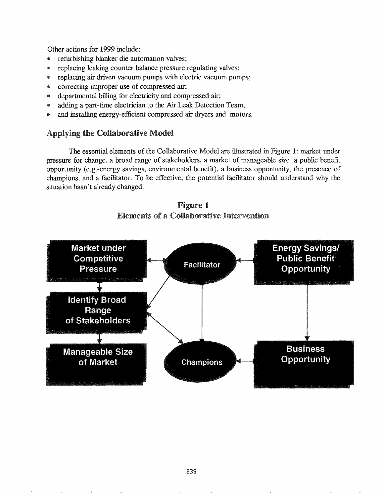Other actions for 1999 include:

- @ refurbishing blanker die automation valves;
- replacing leaking counter balance pressure regulating valves;
- @ replacing air driven vacuum pumps with electric vacuum pumps;
- correcting improper use of compressed air;
- e departmental billing for electricity and compressed air;
- \* adding a part-time electrician to the Air Leak Detection Team,
- and installing energy-efficient compressed air dryers and motors.

# Applying the Collaborative Model

The essential elements of the Collaborative Model are illustrated in Figure 1: market under pressure for change, a broad range of stakeholders, a market of manageable size, a public benefit opportunity (e.g.-energy savings, environmental benefit), a business opportunity, the presence of champions, and a facilitator. To be effective, the potential facilitator should understand why the situation hasn't already changed.



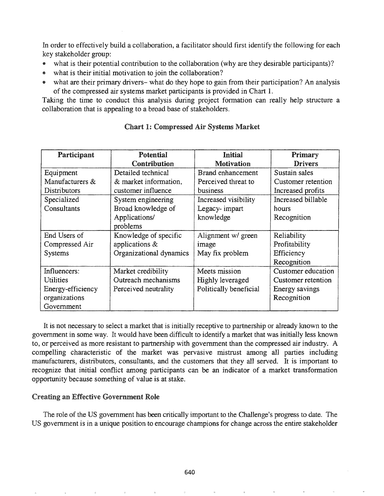In order to effectively build a collaboration, a facilitator should first identify the following for each key stakeholder group:

- what is their potential contribution to the collaboration (why are they desirable participants)?
- what is their initial motivation to join the collaboration?
- what are their primary drivers- what do they hope to gain from their participation? An analysis of the compressed air systems market participants is provided in Chart 1.

Taking the time to conduct this analysis during project formation can really help structure a collaboration that is appealing to a broad base of stakeholders.

| Participant       | Potential               | Initial                | Primary            |
|-------------------|-------------------------|------------------------|--------------------|
|                   | Contribution            | <b>Motivation</b>      | <b>Drivers</b>     |
| Equipment         | Detailed technical      | Brand enhancement      | Sustain sales      |
| Manufacturers &   | & market information,   | Perceived threat to    | Customer retention |
| Distributors      | customer influence      | business               | Increased profits  |
| Specialized       | System engineering      | Increased visibility   | Increased billable |
| Consultants       | Broad knowledge of      | Legacy-impart          | hours              |
|                   | Applications/           | knowledge              | Recognition        |
|                   | problems                |                        |                    |
| End Users of      | Knowledge of specific   | Alignment w/ green     | Reliability        |
| Compressed Air    | applications $&$        | image                  | Profitability      |
| <b>Systems</b>    | Organizational dynamics | May fix problem        | Efficiency         |
|                   |                         |                        | Recognition        |
| Influencers:      | Market credibility      | Meets mission          | Customer education |
| Utilities         | Outreach mechanisms     | Highly leveraged       | Customer retention |
| Energy-efficiency | Perceived neutrality    | Politically beneficial | Energy savings     |
| organizations     |                         |                        | Recognition        |
| Government        |                         |                        |                    |

## Chart 1: Compressed Air Systems Market

It is not necessary to select a market that is initially receptive to partnership or already known to the government in some way\_ It would have been difficult to identify a market that was initially less known to, or perceived as more resistant to partnership with government than the compressed air industry. A compelling characteristic of the market was pervasive mistrust among all parties including manufacturers, distributors, consultants, and the customers that they all served. It is important to recognize that initial conflict among participants can be an indicator of a market transformation opportunity because something of value is at stake.

## Creating an Effective Government Role

The role of the US government has been critically important to the Challenge's progress to date. The US government is in a unique position to encourage champions for change across the entire stakeholder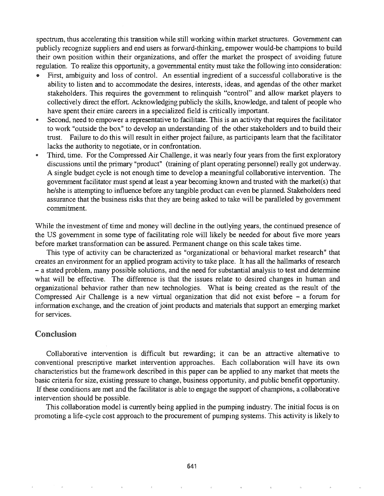spectrum, thus accelerating this transition while still working within market structures. Government can publicly recognize suppliers and end users as forward-thinking, empower would-be champions to build their own position within their organizations, and offer the market the prospect of avoiding future regulation. To realize this opportunity, a governmental entity must take the following into consideration:

- First, ambiguity and loss of control. An essential ingredient of a successful collaborative is the ability to listen and to accommodate the desires, interests, ideas, and agendas of the other market stakeholders. This requires the government to relinquish "control" and allow market players to collectively direct the effort. Acknowledging publicly the skills, knowledge, and talent of people who have spent their entire careers in a specialized field is critically important.
- . Second, need to empower a representative to facilitate. This is an activity that requires the facilitator to work "outside the box" to develop an understanding of the other stakeholders and to build their trust. Failure to do this will result in either project failure, as participants learn that the facilitator lacks the authority to negotiate, or in confrontation.
- Third, time. For the Compressed Air Challenge, it was nearly four years from the first exploratory discussions until the primary "product" (training of plant operating personnel) really got undenvay. A single budget cycle is not enough time to develop a meaningful collaborative intervention. The government facilitator must spend at least a year becoming known and trusted with the market(s) that he/she is attempting to influence before any tangible product can even be planned. Stakeholders need assurance that the business risks that they are being asked to take will be paralleled by government commitment.

While the investment of time and money will decline in the outlying years, the continued presence of the US government in some type of facilitating role will likely be needed for about five more years before market transformation can be assured. Pennanent change on this scale takes time.

This type of activity can be characterized as "organizational or behavioral market research" that creates an environment for an applied program activity to take place. It has all the hallmarks of research - a stated problem, many possible solutions, and the need for substantial analysis to test and determine what will be effective. The difference is that the issues relate to desired changes in human and organizational behavior rather than new technologies. What is being created as the result of the Compressed Air Challenge is a new virtual organization that did not exist before - a forum for information exchange, and the creation of joint products and materials that support an emerging market for services.

## Conclusion

Collaborative intervention is difficult but rewarding; it can be an attractive alternative to conventional prescriptive market intervention approaches. Each collaboration will have its own characteristics but the framework described in this paper can be applied to any market that meets the basic criteria for size, existing pressure to change, business opportunity, and public benefit opportunity. If these conditions are met and the facilitator is able to engage the support of champions, a collaborative intervention should be possible.

This collaboration model is currently being applied in the pumping industry. The initial focus is on promoting a life-cycle cost approach to the procurement of pumping systems. This activity is likely to